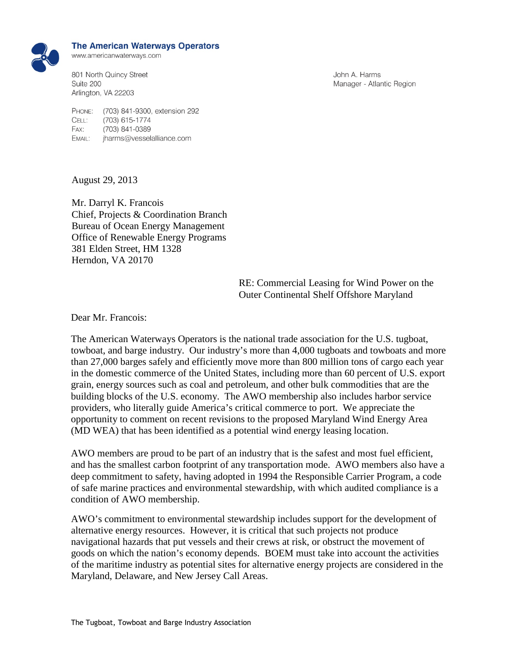

## **The American Waterways Operators**

www.americanwaterways.com

801 North Quincy Street Suite 200 Arlington, VA 22203

John A. Harms Manager - Atlantic Region

PHONE: (703) 841-9300, extension 292 CELL: (703) 615-1774 FAX: (703) 841-0389 EMAIL: jharms@vesselalliance.com

August 29, 2013

Mr. Darryl K. Francois Chief, Projects & Coordination Branch Bureau of Ocean Energy Management Office of Renewable Energy Programs 381 Elden Street, HM 1328 Herndon, VA 20170

> RE: Commercial Leasing for Wind Power on the Outer Continental Shelf Offshore Maryland

Dear Mr. Francois:

The American Waterways Operators is the national trade association for the U.S. tugboat, towboat, and barge industry. Our industry's more than 4,000 tugboats and towboats and more than 27,000 barges safely and efficiently move more than 800 million tons of cargo each year in the domestic commerce of the United States, including more than 60 percent of U.S. export grain, energy sources such as coal and petroleum, and other bulk commodities that are the building blocks of the U.S. economy. The AWO membership also includes harbor service providers, who literally guide America's critical commerce to port. We appreciate the opportunity to comment on recent revisions to the proposed Maryland Wind Energy Area (MD WEA) that has been identified as a potential wind energy leasing location.

AWO members are proud to be part of an industry that is the safest and most fuel efficient, and has the smallest carbon footprint of any transportation mode. AWO members also have a deep commitment to safety, having adopted in 1994 the Responsible Carrier Program, a code of safe marine practices and environmental stewardship, with which audited compliance is a condition of AWO membership.

AWO's commitment to environmental stewardship includes support for the development of alternative energy resources. However, it is critical that such projects not produce navigational hazards that put vessels and their crews at risk, or obstruct the movement of goods on which the nation's economy depends. BOEM must take into account the activities of the maritime industry as potential sites for alternative energy projects are considered in the Maryland, Delaware, and New Jersey Call Areas.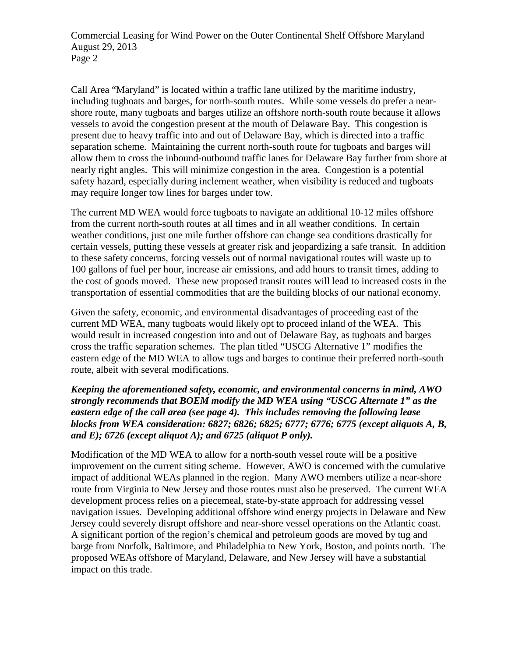Commercial Leasing for Wind Power on the Outer Continental Shelf Offshore Maryland August 29, 2013 Page 2

Call Area "Maryland" is located within a traffic lane utilized by the maritime industry, including tugboats and barges, for north-south routes. While some vessels do prefer a nearshore route, many tugboats and barges utilize an offshore north-south route because it allows vessels to avoid the congestion present at the mouth of Delaware Bay. This congestion is present due to heavy traffic into and out of Delaware Bay, which is directed into a traffic separation scheme. Maintaining the current north-south route for tugboats and barges will allow them to cross the inbound-outbound traffic lanes for Delaware Bay further from shore at nearly right angles. This will minimize congestion in the area. Congestion is a potential safety hazard, especially during inclement weather, when visibility is reduced and tugboats may require longer tow lines for barges under tow.

The current MD WEA would force tugboats to navigate an additional 10-12 miles offshore from the current north-south routes at all times and in all weather conditions. In certain weather conditions, just one mile further offshore can change sea conditions drastically for certain vessels, putting these vessels at greater risk and jeopardizing a safe transit. In addition to these safety concerns, forcing vessels out of normal navigational routes will waste up to 100 gallons of fuel per hour, increase air emissions, and add hours to transit times, adding to the cost of goods moved. These new proposed transit routes will lead to increased costs in the transportation of essential commodities that are the building blocks of our national economy.

Given the safety, economic, and environmental disadvantages of proceeding east of the current MD WEA, many tugboats would likely opt to proceed inland of the WEA. This would result in increased congestion into and out of Delaware Bay, as tugboats and barges cross the traffic separation schemes. The plan titled "USCG Alternative 1" modifies the eastern edge of the MD WEA to allow tugs and barges to continue their preferred north-south route, albeit with several modifications.

*Keeping the aforementioned safety, economic, and environmental concerns in mind, AWO strongly recommends that BOEM modify the MD WEA using "USCG Alternate 1" as the eastern edge of the call area (see page 4). This includes removing the following lease blocks from WEA consideration: 6827; 6826; 6825; 6777; 6776; 6775 (except aliquots A, B, and E); 6726 (except aliquot A); and 6725 (aliquot P only).*

Modification of the MD WEA to allow for a north-south vessel route will be a positive improvement on the current siting scheme. However, AWO is concerned with the cumulative impact of additional WEAs planned in the region. Many AWO members utilize a near-shore route from Virginia to New Jersey and those routes must also be preserved. The current WEA development process relies on a piecemeal, state-by-state approach for addressing vessel navigation issues. Developing additional offshore wind energy projects in Delaware and New Jersey could severely disrupt offshore and near-shore vessel operations on the Atlantic coast. A significant portion of the region's chemical and petroleum goods are moved by tug and barge from Norfolk, Baltimore, and Philadelphia to New York, Boston, and points north. The proposed WEAs offshore of Maryland, Delaware, and New Jersey will have a substantial impact on this trade.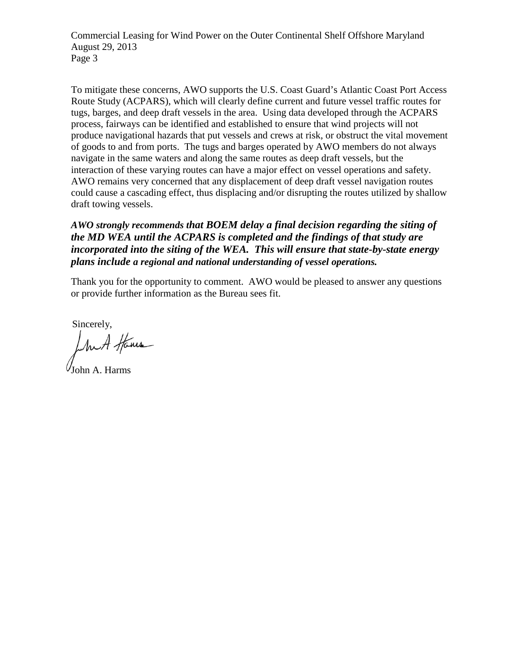Commercial Leasing for Wind Power on the Outer Continental Shelf Offshore Maryland August 29, 2013 Page 3

To mitigate these concerns, AWO supports the U.S. Coast Guard's Atlantic Coast Port Access Route Study (ACPARS), which will clearly define current and future vessel traffic routes for tugs, barges, and deep draft vessels in the area. Using data developed through the ACPARS process, fairways can be identified and established to ensure that wind projects will not produce navigational hazards that put vessels and crews at risk, or obstruct the vital movement of goods to and from ports. The tugs and barges operated by AWO members do not always navigate in the same waters and along the same routes as deep draft vessels, but the interaction of these varying routes can have a major effect on vessel operations and safety. AWO remains very concerned that any displacement of deep draft vessel navigation routes could cause a cascading effect, thus displacing and/or disrupting the routes utilized by shallow draft towing vessels.

*AWO strongly recommends that BOEM delay a final decision regarding the siting of the MD WEA until the ACPARS is completed and the findings of that study are incorporated into the siting of the WEA. This will ensure that state-by-state energy plans include a regional and national understanding of vessel operations.*

Thank you for the opportunity to comment. AWO would be pleased to answer any questions or provide further information as the Bureau sees fit.

Sincerely,<br>In A Home

John A. Harms